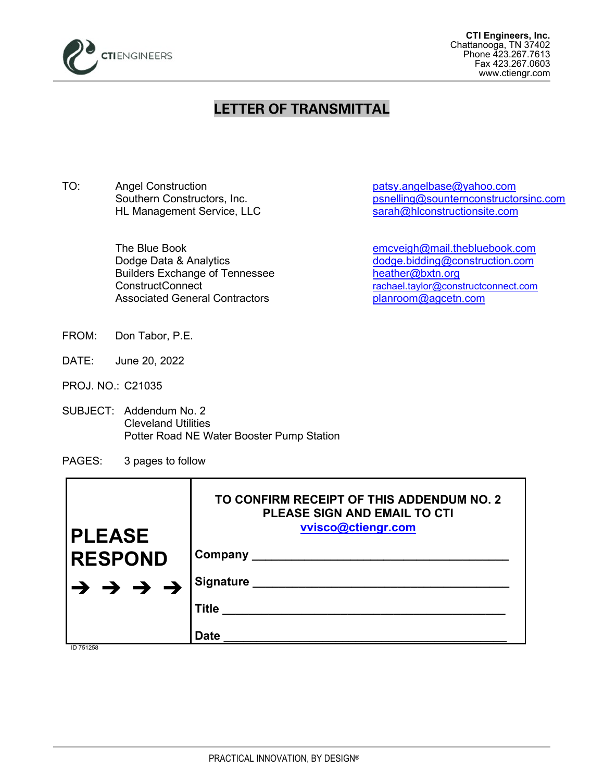

## **LETTER OF TRANSMITTAL**

TO: Angel Construction example and patsy.angelbase@yahoo.com HL Management Service, LLC

> Builders Exchange of Tennessee [heather@bxtn.org](mailto:heather@bxtn.org) Associated General Contractors entity planroom@agcetn.com

Southern Constructors, Inc.<br>
HL Management Service, LLC<br>
Sarah@hlconstructionsite.com<br>
sarah@hlconstructionsite.com

The Blue Book [emcveigh@mail.thebluebook.com](mailto:emcveigh@mail.thebluebook.com) Dodge Data & Analytics [dodge.bidding@construction.com](mailto:dodge.bidding@construction.com) ConstructConnect [rachael.taylor@constructconnect.com](mailto:rachael.taylor@constructconnect.com)

- FROM: Don Tabor, P.E.
- DATE: June 20, 2022
- PROJ. NO.: C21035
- SUBJECT: Addendum No. 2 Cleveland Utilities Potter Road NE Water Booster Pump Station
- PAGES: 3 pages to follow

| <b>PLEASE</b>  | TO CONFIRM RECEIPT OF THIS ADDENDUM NO. 2<br><b>PLEASE SIGN AND EMAIL TO CTI</b><br>vvisco@ctiengr.com |
|----------------|--------------------------------------------------------------------------------------------------------|
| <b>RESPOND</b> | Company                                                                                                |
| <b>ナナナナ</b>    | <b>Signature</b>                                                                                       |
|                | <b>Title</b>                                                                                           |
|                | <b>Date</b>                                                                                            |

ID 751258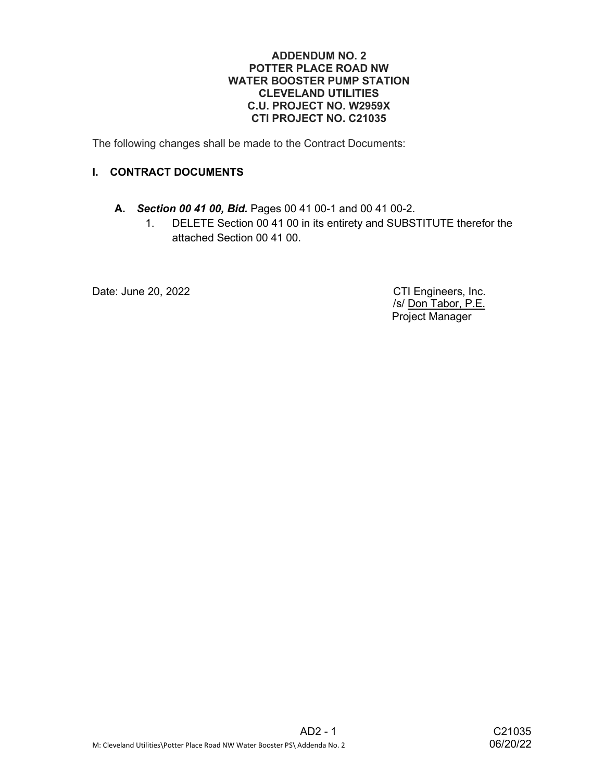## ADDENDUM NO. 2 POTTER PLACE ROAD NW WATER BOOSTER PUMP STATION CLEVELAND UTILITIES C.U. PROJECT NO. W2959X CTI PROJECT NO. C21035

The following changes shall be made to the Contract Documents:

## I. CONTRACT DOCUMENTS

## A. Section 00 41 00, Bid. Pages 00 41 00-1 and 00 41 00-2.

1. DELETE Section 00 41 00 in its entirety and SUBSTITUTE therefor the attached Section 00 41 00.

Date: June 20, 2022 **CTI Engineers**, Inc.

 /s/ Don Tabor, P.E. Project Manager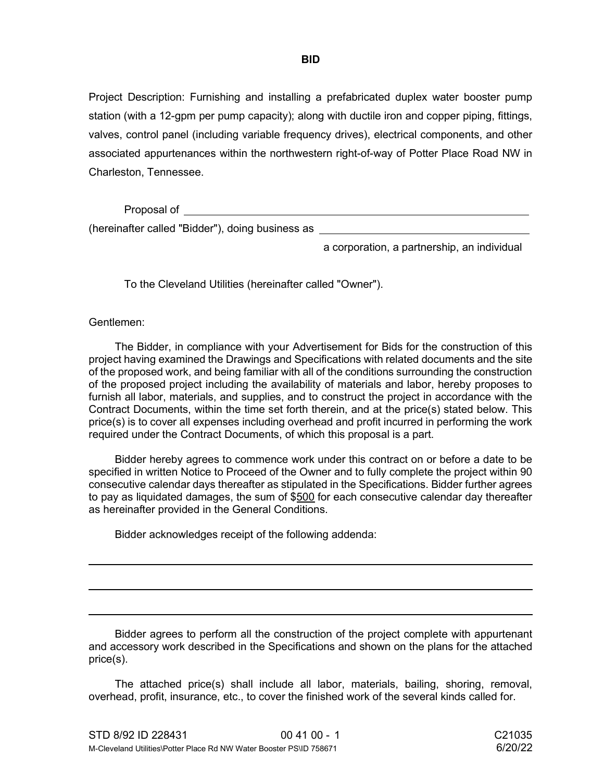Project Description: Furnishing and installing a prefabricated duplex water booster pump station (with a 12-gpm per pump capacity); along with ductile iron and copper piping, fittings, valves, control panel (including variable frequency drives), electrical components, and other associated appurtenances within the northwestern right-of-way of Potter Place Road NW in Charleston, Tennessee.

Proposal of

(hereinafter called "Bidder"), doing business as

a corporation, a partnership, an individual

To the Cleveland Utilities (hereinafter called "Owner").

Gentlemen:

l

 The Bidder, in compliance with your Advertisement for Bids for the construction of this project having examined the Drawings and Specifications with related documents and the site of the proposed work, and being familiar with all of the conditions surrounding the construction of the proposed project including the availability of materials and labor, hereby proposes to furnish all labor, materials, and supplies, and to construct the project in accordance with the Contract Documents, within the time set forth therein, and at the price(s) stated below. This price(s) is to cover all expenses including overhead and profit incurred in performing the work required under the Contract Documents, of which this proposal is a part.

 Bidder hereby agrees to commence work under this contract on or before a date to be specified in written Notice to Proceed of the Owner and to fully complete the project within 90 consecutive calendar days thereafter as stipulated in the Specifications. Bidder further agrees to pay as liquidated damages, the sum of \$500 for each consecutive calendar day thereafter as hereinafter provided in the General Conditions.

Bidder acknowledges receipt of the following addenda:

 Bidder agrees to perform all the construction of the project complete with appurtenant and accessory work described in the Specifications and shown on the plans for the attached price(s).

 The attached price(s) shall include all labor, materials, bailing, shoring, removal, overhead, profit, insurance, etc., to cover the finished work of the several kinds called for.